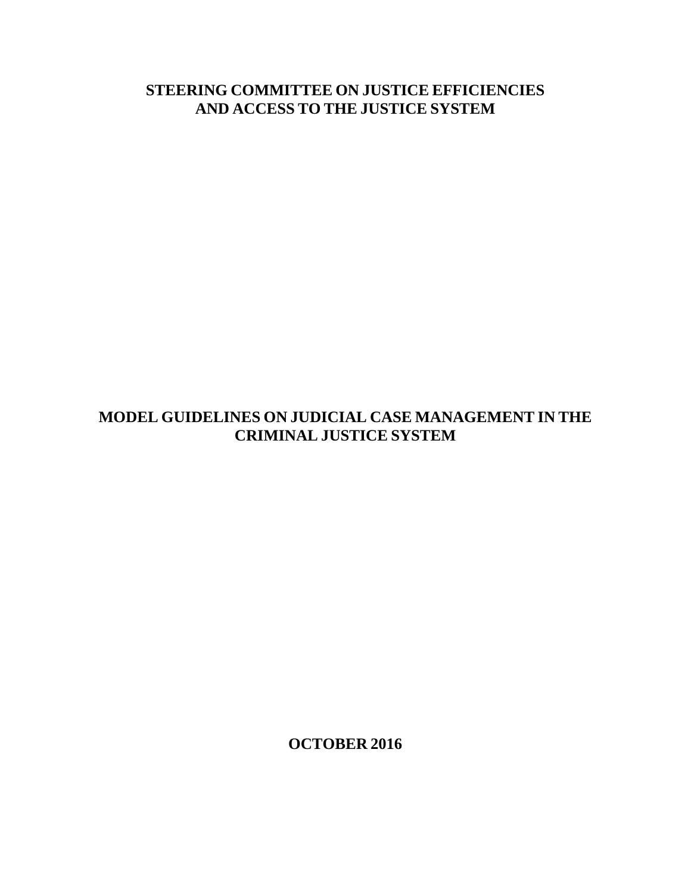# **STEERING COMMITTEE ON JUSTICE EFFICIENCIES AND ACCESS TO THE JUSTICE SYSTEM**

# **MODEL GUIDELINES ON JUDICIAL CASE MANAGEMENT IN THE CRIMINAL JUSTICE SYSTEM**

**OCTOBER 2016**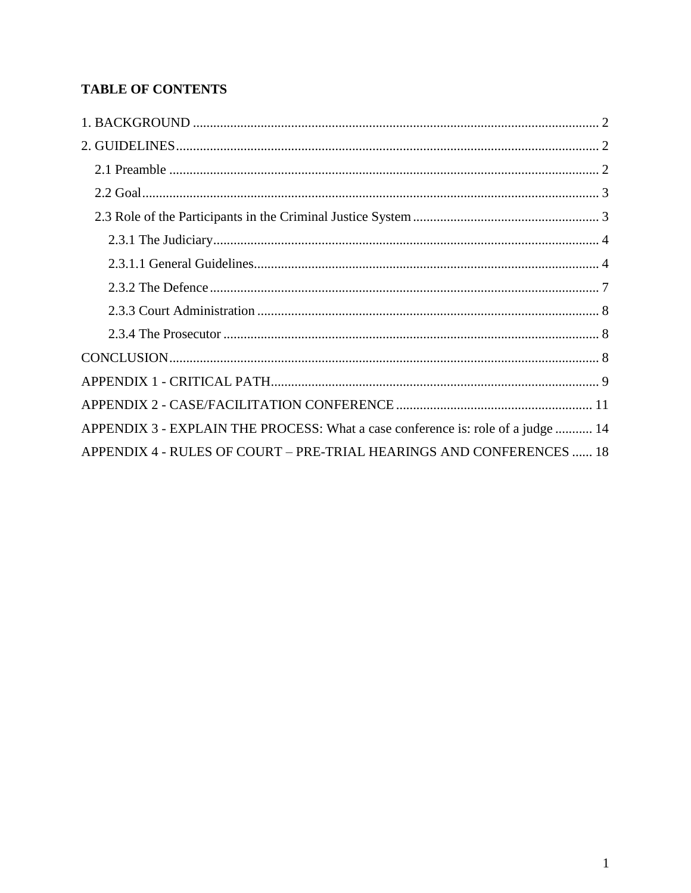# **TABLE OF CONTENTS**

| APPENDIX 3 - EXPLAIN THE PROCESS: What a case conference is: role of a judge  14 |
|----------------------------------------------------------------------------------|
| APPENDIX 4 - RULES OF COURT – PRE-TRIAL HEARINGS AND CONFERENCES  18             |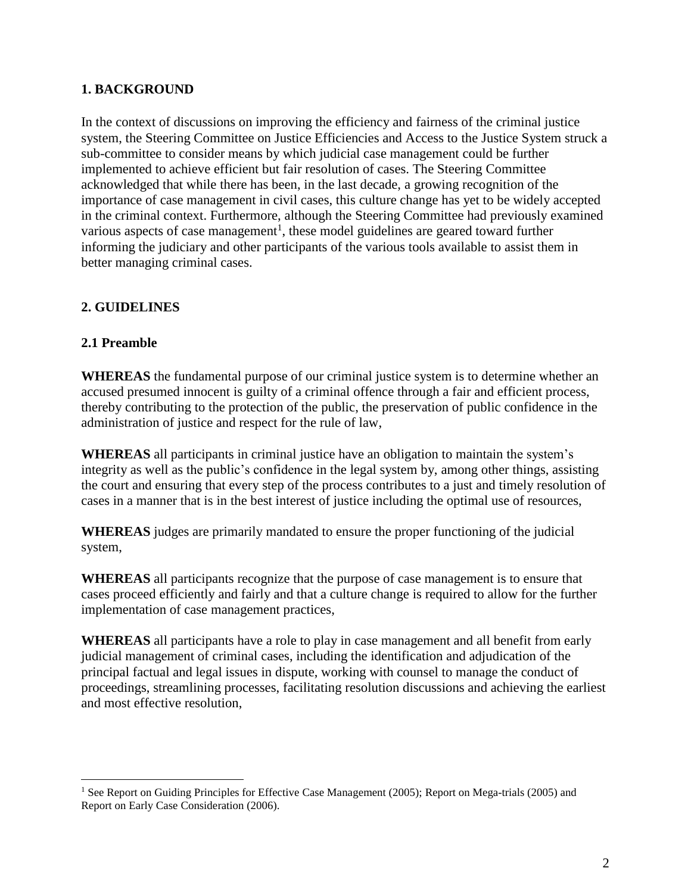# <span id="page-2-0"></span>**1. BACKGROUND**

In the context of discussions on improving the efficiency and fairness of the criminal justice system, the Steering Committee on Justice Efficiencies and Access to the Justice System struck a sub-committee to consider means by which judicial case management could be further implemented to achieve efficient but fair resolution of cases. The Steering Committee acknowledged that while there has been, in the last decade, a growing recognition of the importance of case management in civil cases, this culture change has yet to be widely accepted in the criminal context. Furthermore, although the Steering Committee had previously examined various aspects of case management<sup>1</sup>, these model guidelines are geared toward further informing the judiciary and other participants of the various tools available to assist them in better managing criminal cases.

## <span id="page-2-1"></span>**2. GUIDELINES**

#### <span id="page-2-2"></span>**2.1 Preamble**

 $\overline{a}$ 

**WHEREAS** the fundamental purpose of our criminal justice system is to determine whether an accused presumed innocent is guilty of a criminal offence through a fair and efficient process, thereby contributing to the protection of the public, the preservation of public confidence in the administration of justice and respect for the rule of law,

**WHEREAS** all participants in criminal justice have an obligation to maintain the system's integrity as well as the public's confidence in the legal system by, among other things, assisting the court and ensuring that every step of the process contributes to a just and timely resolution of cases in a manner that is in the best interest of justice including the optimal use of resources,

**WHEREAS** judges are primarily mandated to ensure the proper functioning of the judicial system,

**WHEREAS** all participants recognize that the purpose of case management is to ensure that cases proceed efficiently and fairly and that a culture change is required to allow for the further implementation of case management practices,

**WHEREAS** all participants have a role to play in case management and all benefit from early judicial management of criminal cases, including the identification and adjudication of the principal factual and legal issues in dispute, working with counsel to manage the conduct of proceedings, streamlining processes, facilitating resolution discussions and achieving the earliest and most effective resolution,

<sup>&</sup>lt;sup>1</sup> See Report on Guiding Principles for Effective Case Management (2005); Report on Mega-trials (2005) and Report on Early Case Consideration (2006).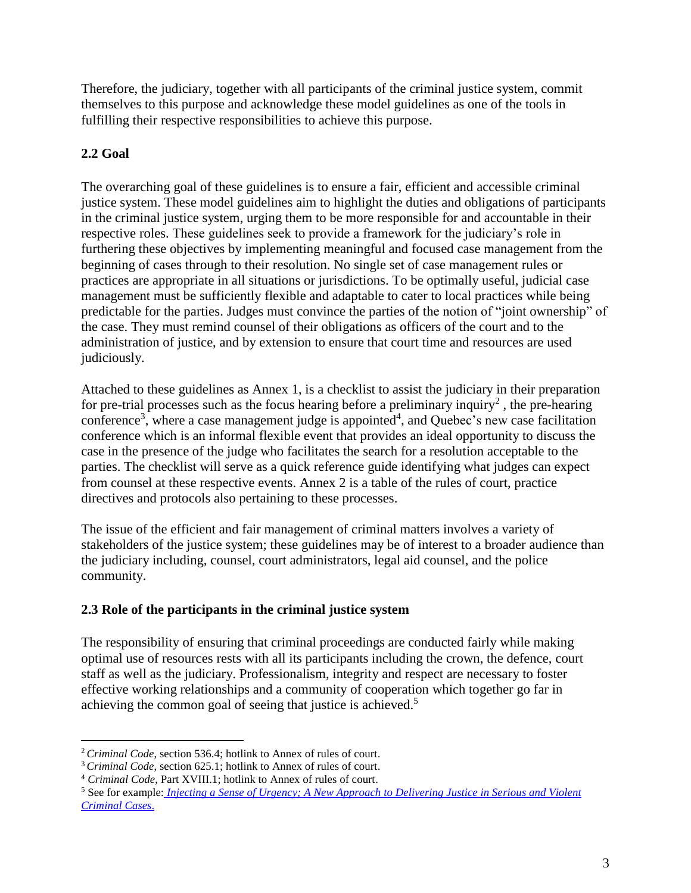Therefore, the judiciary, together with all participants of the criminal justice system, commit themselves to this purpose and acknowledge these model guidelines as one of the tools in fulfilling their respective responsibilities to achieve this purpose.

# <span id="page-3-0"></span>**2.2 Goal**

 $\overline{a}$ 

The overarching goal of these guidelines is to ensure a fair, efficient and accessible criminal justice system. These model guidelines aim to highlight the duties and obligations of participants in the criminal justice system, urging them to be more responsible for and accountable in their respective roles. These guidelines seek to provide a framework for the judiciary's role in furthering these objectives by implementing meaningful and focused case management from the beginning of cases through to their resolution. No single set of case management rules or practices are appropriate in all situations or jurisdictions. To be optimally useful, judicial case management must be sufficiently flexible and adaptable to cater to local practices while being predictable for the parties. Judges must convince the parties of the notion of "joint ownership" of the case. They must remind counsel of their obligations as officers of the court and to the administration of justice, and by extension to ensure that court time and resources are used judiciously.

Attached to these guidelines as Annex 1, is a checklist to assist the judiciary in their preparation for pre-trial processes such as the focus hearing before a preliminary inquiry<sup>2</sup>, the pre-hearing conference<sup>3</sup>, where a case management judge is appointed<sup>4</sup>, and Quebec's new case facilitation conference which is an informal flexible event that provides an ideal opportunity to discuss the case in the presence of the judge who facilitates the search for a resolution acceptable to the parties. The checklist will serve as a quick reference guide identifying what judges can expect from counsel at these respective events. Annex 2 is a table of the rules of court, practice directives and protocols also pertaining to these processes.

The issue of the efficient and fair management of criminal matters involves a variety of stakeholders of the justice system; these guidelines may be of interest to a broader audience than the judiciary including, counsel, court administrators, legal aid counsel, and the police community.

# <span id="page-3-1"></span>**2.3 Role of the participants in the criminal justice system**

The responsibility of ensuring that criminal proceedings are conducted fairly while making optimal use of resources rests with all its participants including the crown, the defence, court staff as well as the judiciary. Professionalism, integrity and respect are necessary to foster effective working relationships and a community of cooperation which together go far in achieving the common goal of seeing that justice is achieved.<sup>5</sup>

<sup>2</sup> *Criminal Code*, section 536.4; hotlink to Annex of rules of court.

<sup>&</sup>lt;sup>3</sup> *Criminal Code*, section 625.1; hotlink to Annex of rules of court.

<sup>4</sup> *Criminal Code*, Part XVIII.1; hotlink to Annex of rules of court.

<sup>5</sup> See for example: *[Injecting a Sense of Urgency; A New Approach to Delivering Justice in Serious and Violent](https://justice.alberta.ca/programs_services/criminal_pros/Publications%20Library%20%20Criminal%20Prosecutions/InjectingSenseUrgency.aspx/DispForm.aspx?ID=12)  [Criminal Cases](https://justice.alberta.ca/programs_services/criminal_pros/Publications%20Library%20%20Criminal%20Prosecutions/InjectingSenseUrgency.aspx/DispForm.aspx?ID=12)*.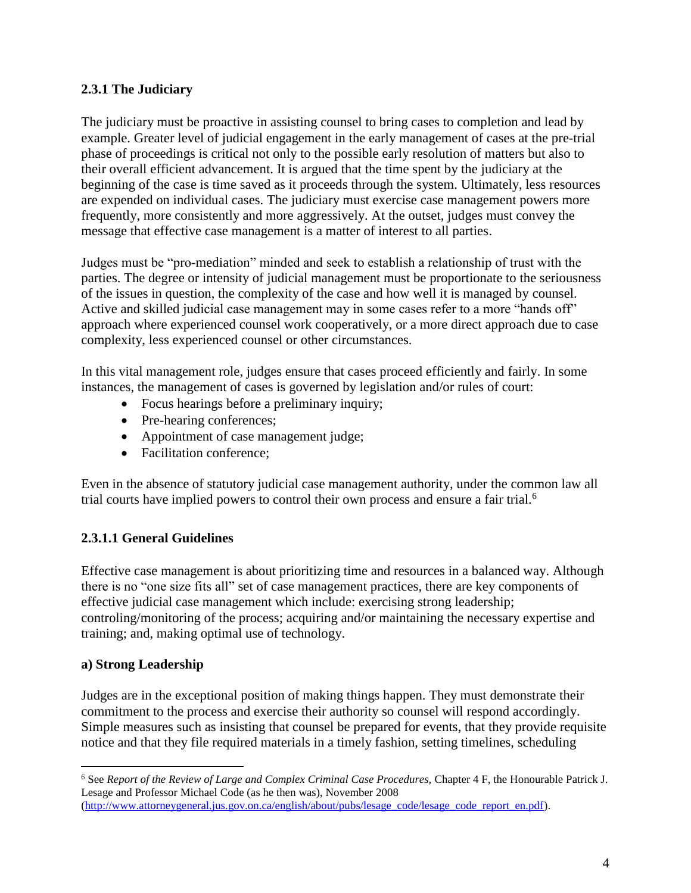## <span id="page-4-0"></span>**2.3.1 The Judiciary**

The judiciary must be proactive in assisting counsel to bring cases to completion and lead by example. Greater level of judicial engagement in the early management of cases at the pre-trial phase of proceedings is critical not only to the possible early resolution of matters but also to their overall efficient advancement. It is argued that the time spent by the judiciary at the beginning of the case is time saved as it proceeds through the system. Ultimately, less resources are expended on individual cases. The judiciary must exercise case management powers more frequently, more consistently and more aggressively. At the outset, judges must convey the message that effective case management is a matter of interest to all parties.

Judges must be "pro-mediation" minded and seek to establish a relationship of trust with the parties. The degree or intensity of judicial management must be proportionate to the seriousness of the issues in question, the complexity of the case and how well it is managed by counsel. Active and skilled judicial case management may in some cases refer to a more "hands off" approach where experienced counsel work cooperatively, or a more direct approach due to case complexity, less experienced counsel or other circumstances.

In this vital management role, judges ensure that cases proceed efficiently and fairly. In some instances, the management of cases is governed by legislation and/or rules of court:

- Focus hearings before a preliminary inquiry;
- Pre-hearing conferences;
- Appointment of case management judge;
- Facilitation conference:

Even in the absence of statutory judicial case management authority, under the common law all trial courts have implied powers to control their own process and ensure a fair trial.<sup>6</sup>

# <span id="page-4-1"></span>**2.3.1.1 General Guidelines**

Effective case management is about prioritizing time and resources in a balanced way. Although there is no "one size fits all" set of case management practices, there are key components of effective judicial case management which include: exercising strong leadership; controling/monitoring of the process; acquiring and/or maintaining the necessary expertise and training; and, making optimal use of technology.

#### **a) Strong Leadership**

 $\overline{a}$ 

Judges are in the exceptional position of making things happen. They must demonstrate their commitment to the process and exercise their authority so counsel will respond accordingly. Simple measures such as insisting that counsel be prepared for events, that they provide requisite notice and that they file required materials in a timely fashion, setting timelines, scheduling

<sup>6</sup> See *Report of the Review of Large and Complex Criminal Case Procedures,* Chapter 4 F, the Honourable Patrick J. Lesage and Professor Michael Code (as he then was), November 2008 [\(http://www.attorneygeneral.jus.gov.on.ca/english/about/pubs/lesage\\_code/lesage\\_code\\_report\\_en.pdf\)](http://www.attorneygeneral.jus.gov.on.ca/english/about/pubs/lesage_code/lesage_code_report_en.pdf).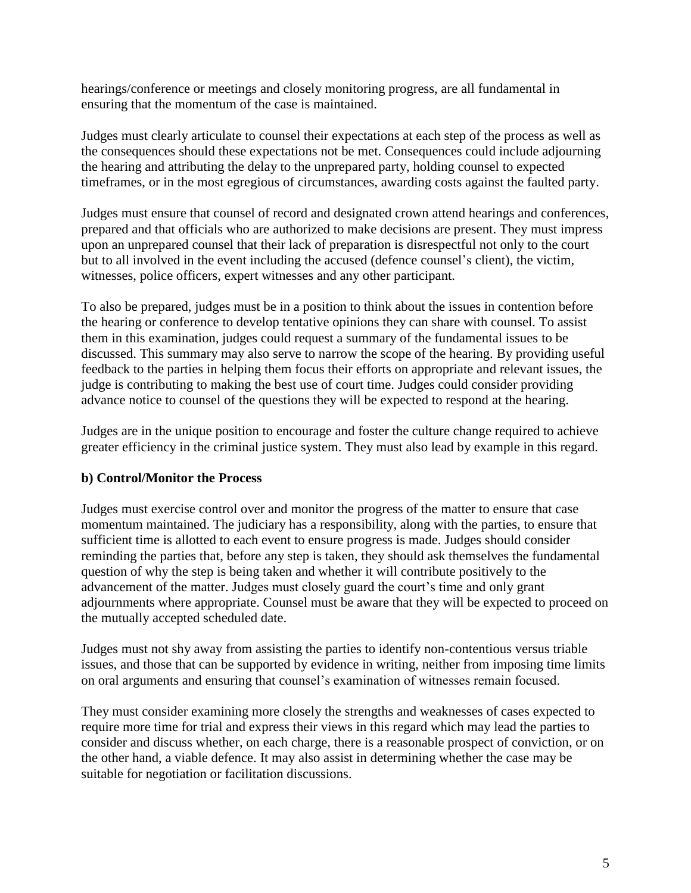hearings/conference or meetings and closely monitoring progress, are all fundamental in ensuring that the momentum of the case is maintained.

Judges must clearly articulate to counsel their expectations at each step of the process as well as the consequences should these expectations not be met. Consequences could include adjourning the hearing and attributing the delay to the unprepared party, holding counsel to expected timeframes, or in the most egregious of circumstances, awarding costs against the faulted party.

Judges must ensure that counsel of record and designated crown attend hearings and conferences, prepared and that officials who are authorized to make decisions are present. They must impress upon an unprepared counsel that their lack of preparation is disrespectful not only to the court but to all involved in the event including the accused (defence counsel's client), the victim, witnesses, police officers, expert witnesses and any other participant.

To also be prepared, judges must be in a position to think about the issues in contention before the hearing or conference to develop tentative opinions they can share with counsel. To assist them in this examination, judges could request a summary of the fundamental issues to be discussed. This summary may also serve to narrow the scope of the hearing. By providing useful feedback to the parties in helping them focus their efforts on appropriate and relevant issues, the judge is contributing to making the best use of court time. Judges could consider providing advance notice to counsel of the questions they will be expected to respond at the hearing.

Judges are in the unique position to encourage and foster the culture change required to achieve greater efficiency in the criminal justice system. They must also lead by example in this regard.

#### **b) Control/Monitor the Process**

Judges must exercise control over and monitor the progress of the matter to ensure that case momentum maintained. The judiciary has a responsibility, along with the parties, to ensure that sufficient time is allotted to each event to ensure progress is made. Judges should consider reminding the parties that, before any step is taken, they should ask themselves the fundamental question of why the step is being taken and whether it will contribute positively to the advancement of the matter. Judges must closely guard the court's time and only grant adjournments where appropriate. Counsel must be aware that they will be expected to proceed on the mutually accepted scheduled date.

Judges must not shy away from assisting the parties to identify non-contentious versus triable issues, and those that can be supported by evidence in writing, neither from imposing time limits on oral arguments and ensuring that counsel's examination of witnesses remain focused.

They must consider examining more closely the strengths and weaknesses of cases expected to require more time for trial and express their views in this regard which may lead the parties to consider and discuss whether, on each charge, there is a reasonable prospect of conviction, or on the other hand, a viable defence. It may also assist in determining whether the case may be suitable for negotiation or facilitation discussions.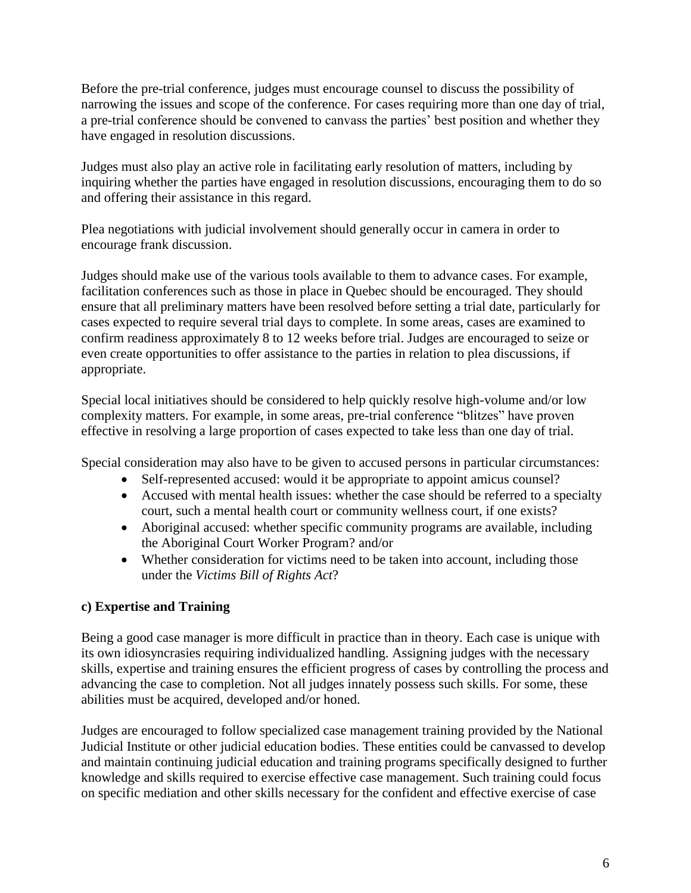Before the pre-trial conference, judges must encourage counsel to discuss the possibility of narrowing the issues and scope of the conference. For cases requiring more than one day of trial, a pre-trial conference should be convened to canvass the parties' best position and whether they have engaged in resolution discussions.

Judges must also play an active role in facilitating early resolution of matters, including by inquiring whether the parties have engaged in resolution discussions, encouraging them to do so and offering their assistance in this regard.

Plea negotiations with judicial involvement should generally occur in camera in order to encourage frank discussion.

Judges should make use of the various tools available to them to advance cases. For example, facilitation conferences such as those in place in Quebec should be encouraged. They should ensure that all preliminary matters have been resolved before setting a trial date, particularly for cases expected to require several trial days to complete. In some areas, cases are examined to confirm readiness approximately 8 to 12 weeks before trial. Judges are encouraged to seize or even create opportunities to offer assistance to the parties in relation to plea discussions, if appropriate.

Special local initiatives should be considered to help quickly resolve high-volume and/or low complexity matters. For example, in some areas, pre-trial conference "blitzes" have proven effective in resolving a large proportion of cases expected to take less than one day of trial.

Special consideration may also have to be given to accused persons in particular circumstances:

- Self-represented accused: would it be appropriate to appoint amicus counsel?
- Accused with mental health issues: whether the case should be referred to a specialty court, such a mental health court or community wellness court, if one exists?
- Aboriginal accused: whether specific community programs are available, including the Aboriginal Court Worker Program? and/or
- Whether consideration for victims need to be taken into account, including those under the *Victims Bill of Rights Act*?

#### **c) Expertise and Training**

Being a good case manager is more difficult in practice than in theory. Each case is unique with its own idiosyncrasies requiring individualized handling. Assigning judges with the necessary skills, expertise and training ensures the efficient progress of cases by controlling the process and advancing the case to completion. Not all judges innately possess such skills. For some, these abilities must be acquired, developed and/or honed.

Judges are encouraged to follow specialized case management training provided by the National Judicial Institute or other judicial education bodies. These entities could be canvassed to develop and maintain continuing judicial education and training programs specifically designed to further knowledge and skills required to exercise effective case management. Such training could focus on specific mediation and other skills necessary for the confident and effective exercise of case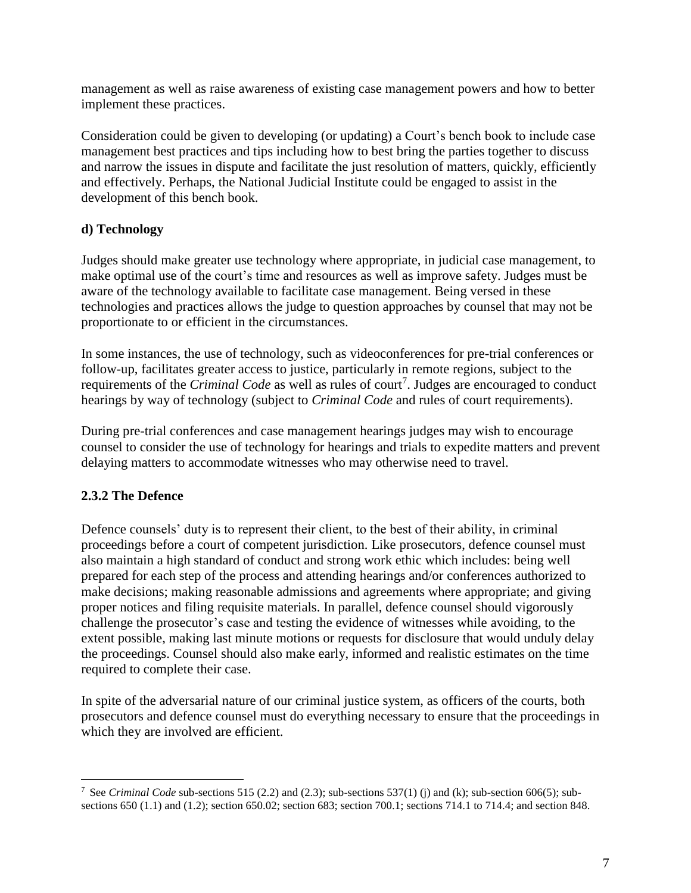management as well as raise awareness of existing case management powers and how to better implement these practices.

Consideration could be given to developing (or updating) a Court's bench book to include case management best practices and tips including how to best bring the parties together to discuss and narrow the issues in dispute and facilitate the just resolution of matters, quickly, efficiently and effectively. Perhaps, the National Judicial Institute could be engaged to assist in the development of this bench book.

# **d) Technology**

Judges should make greater use technology where appropriate, in judicial case management, to make optimal use of the court's time and resources as well as improve safety. Judges must be aware of the technology available to facilitate case management. Being versed in these technologies and practices allows the judge to question approaches by counsel that may not be proportionate to or efficient in the circumstances.

In some instances, the use of technology, such as videoconferences for pre-trial conferences or follow-up, facilitates greater access to justice, particularly in remote regions, subject to the requirements of the *Criminal Code* as well as rules of court<sup>7</sup>. Judges are encouraged to conduct hearings by way of technology (subject to *Criminal Code* and rules of court requirements).

During pre-trial conferences and case management hearings judges may wish to encourage counsel to consider the use of technology for hearings and trials to expedite matters and prevent delaying matters to accommodate witnesses who may otherwise need to travel.

# <span id="page-7-0"></span>**2.3.2 The Defence**

 $\overline{a}$ 

Defence counsels' duty is to represent their client, to the best of their ability, in criminal proceedings before a court of competent jurisdiction. Like prosecutors, defence counsel must also maintain a high standard of conduct and strong work ethic which includes: being well prepared for each step of the process and attending hearings and/or conferences authorized to make decisions; making reasonable admissions and agreements where appropriate; and giving proper notices and filing requisite materials. In parallel, defence counsel should vigorously challenge the prosecutor's case and testing the evidence of witnesses while avoiding, to the extent possible, making last minute motions or requests for disclosure that would unduly delay the proceedings. Counsel should also make early, informed and realistic estimates on the time required to complete their case.

In spite of the adversarial nature of our criminal justice system, as officers of the courts, both prosecutors and defence counsel must do everything necessary to ensure that the proceedings in which they are involved are efficient.

<sup>7</sup> See *Criminal Code* sub-sections 515 (2.2) and (2.3); sub-sections 537(1) (j) and (k); sub-section 606(5); subsections 650 (1.1) and (1.2); section 650.02; section 683; section 700.1; sections 714.1 to 714.4; and section 848.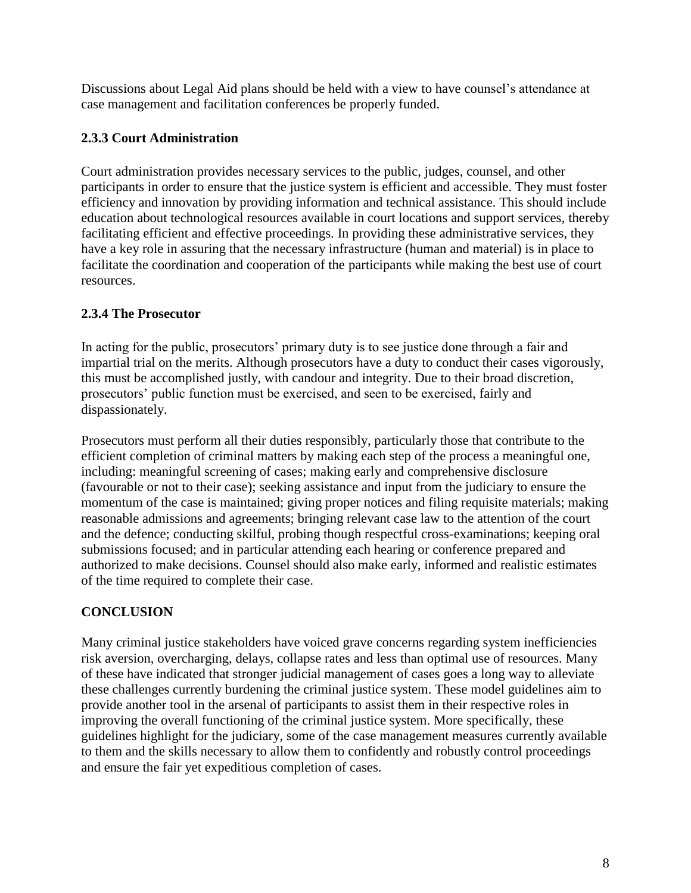Discussions about Legal Aid plans should be held with a view to have counsel's attendance at case management and facilitation conferences be properly funded.

# <span id="page-8-0"></span>**2.3.3 Court Administration**

Court administration provides necessary services to the public, judges, counsel, and other participants in order to ensure that the justice system is efficient and accessible. They must foster efficiency and innovation by providing information and technical assistance. This should include education about technological resources available in court locations and support services, thereby facilitating efficient and effective proceedings. In providing these administrative services, they have a key role in assuring that the necessary infrastructure (human and material) is in place to facilitate the coordination and cooperation of the participants while making the best use of court resources.

# <span id="page-8-1"></span>**2.3.4 The Prosecutor**

In acting for the public, prosecutors' primary duty is to see justice done through a fair and impartial trial on the merits. Although prosecutors have a duty to conduct their cases vigorously, this must be accomplished justly, with candour and integrity. Due to their broad discretion, prosecutors' public function must be exercised, and seen to be exercised, fairly and dispassionately.

Prosecutors must perform all their duties responsibly, particularly those that contribute to the efficient completion of criminal matters by making each step of the process a meaningful one, including: meaningful screening of cases; making early and comprehensive disclosure (favourable or not to their case); seeking assistance and input from the judiciary to ensure the momentum of the case is maintained; giving proper notices and filing requisite materials; making reasonable admissions and agreements; bringing relevant case law to the attention of the court and the defence; conducting skilful, probing though respectful cross-examinations; keeping oral submissions focused; and in particular attending each hearing or conference prepared and authorized to make decisions. Counsel should also make early, informed and realistic estimates of the time required to complete their case.

# <span id="page-8-2"></span>**CONCLUSION**

Many criminal justice stakeholders have voiced grave concerns regarding system inefficiencies risk aversion, overcharging, delays, collapse rates and less than optimal use of resources. Many of these have indicated that stronger judicial management of cases goes a long way to alleviate these challenges currently burdening the criminal justice system. These model guidelines aim to provide another tool in the arsenal of participants to assist them in their respective roles in improving the overall functioning of the criminal justice system. More specifically, these guidelines highlight for the judiciary, some of the case management measures currently available to them and the skills necessary to allow them to confidently and robustly control proceedings and ensure the fair yet expeditious completion of cases.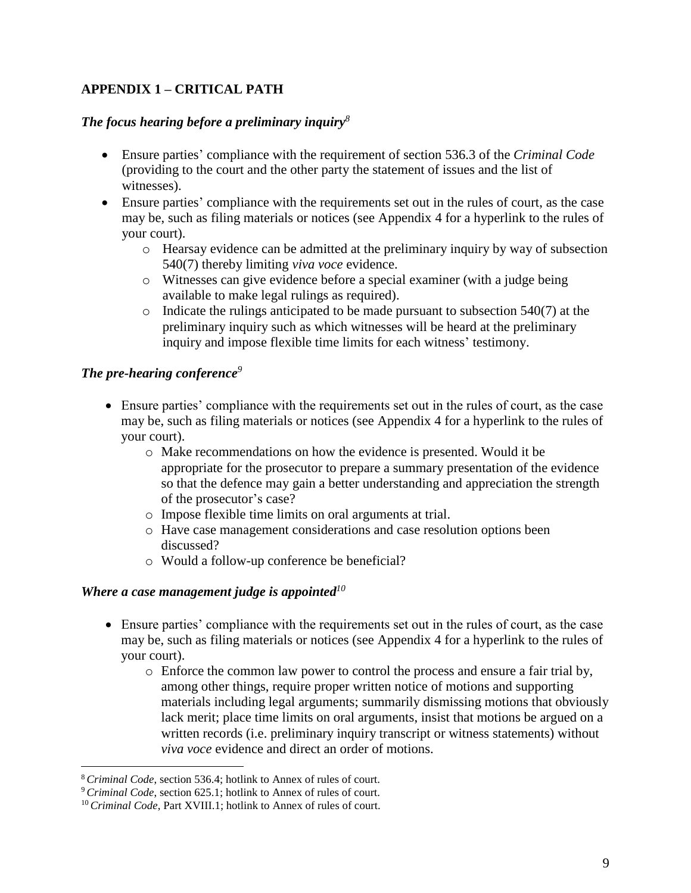# <span id="page-9-0"></span>**APPENDIX 1 – CRITICAL PATH**

#### *The focus hearing before a preliminary inquiry<sup>8</sup>*

- Ensure parties' compliance with the requirement of section 536.3 of the *Criminal Code* (providing to the court and the other party the statement of issues and the list of witnesses).
- Ensure parties' compliance with the requirements set out in the rules of court, as the case may be, such as filing materials or notices (see Appendix 4 for a hyperlink to the rules of your court).
	- o Hearsay evidence can be admitted at the preliminary inquiry by way of subsection 540(7) thereby limiting *viva voce* evidence.
	- o Witnesses can give evidence before a special examiner (with a judge being available to make legal rulings as required).
	- o Indicate the rulings anticipated to be made pursuant to subsection 540(7) at the preliminary inquiry such as which witnesses will be heard at the preliminary inquiry and impose flexible time limits for each witness' testimony.

#### *The pre-hearing conference<sup>9</sup>*

- Ensure parties' compliance with the requirements set out in the rules of court, as the case may be, such as filing materials or notices (see Appendix 4 for a hyperlink to the rules of your court).
	- o Make recommendations on how the evidence is presented. Would it be appropriate for the prosecutor to prepare a summary presentation of the evidence so that the defence may gain a better understanding and appreciation the strength of the prosecutor's case?
	- o Impose flexible time limits on oral arguments at trial.
	- o Have case management considerations and case resolution options been discussed?
	- o Would a follow-up conference be beneficial?

#### *Where a case management judge is appointed<sup>10</sup>*

- Ensure parties' compliance with the requirements set out in the rules of court, as the case may be, such as filing materials or notices (see Appendix 4 for a hyperlink to the rules of your court).
	- o Enforce the common law power to control the process and ensure a fair trial by, among other things, require proper written notice of motions and supporting materials including legal arguments; summarily dismissing motions that obviously lack merit; place time limits on oral arguments, insist that motions be argued on a written records (i.e. preliminary inquiry transcript or witness statements) without *viva voce* evidence and direct an order of motions.

 $\overline{a}$ 

<sup>8</sup> *Criminal Code*, section 536.4; hotlink to Annex of rules of court.

<sup>9</sup> *Criminal Code*, section 625.1; hotlink to Annex of rules of court.

<sup>&</sup>lt;sup>10</sup> *Criminal Code*, Part XVIII.1; hotlink to Annex of rules of court.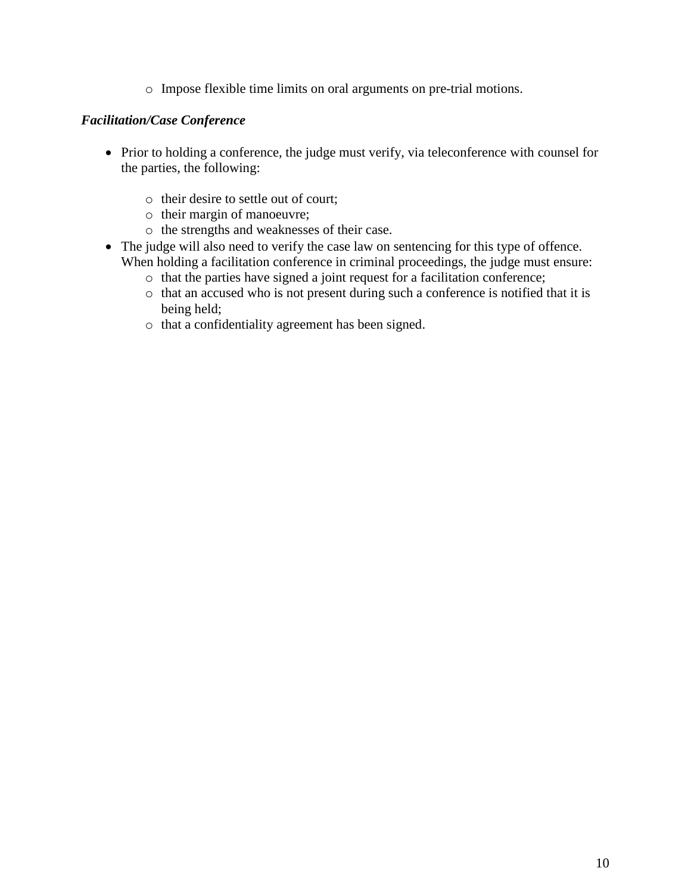o Impose flexible time limits on oral arguments on pre-trial motions.

#### *Facilitation/Case Conference*

- Prior to holding a conference, the judge must verify, via teleconference with counsel for the parties, the following:
	- o their desire to settle out of court;
	- o their margin of manoeuvre;
	- o the strengths and weaknesses of their case.
- The judge will also need to verify the case law on sentencing for this type of offence. When holding a facilitation conference in criminal proceedings, the judge must ensure:
	- o that the parties have signed a joint request for a facilitation conference;
	- o that an accused who is not present during such a conference is notified that it is being held;
	- o that a confidentiality agreement has been signed.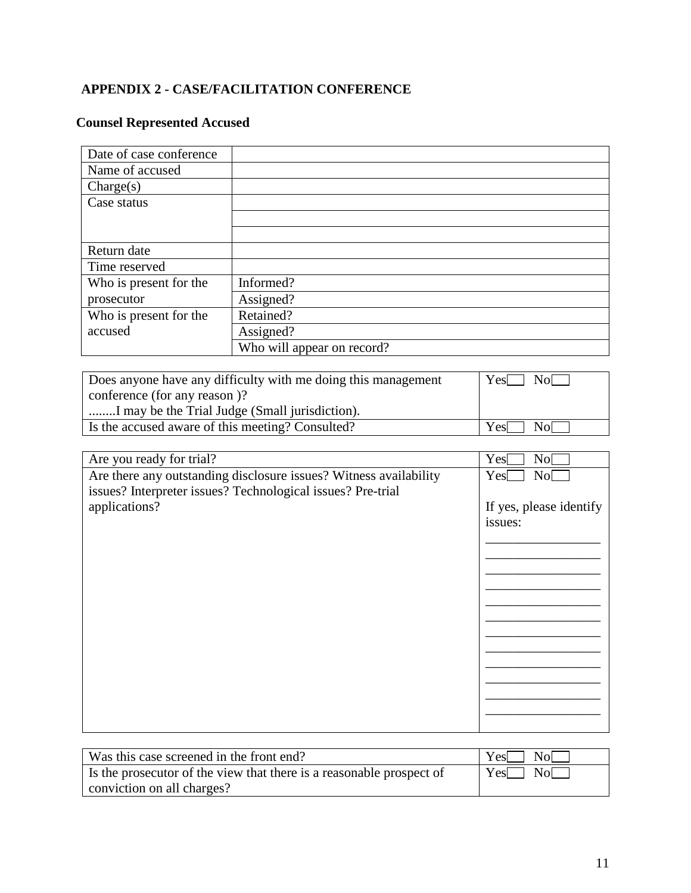# <span id="page-11-0"></span>**APPENDIX 2 - CASE/FACILITATION CONFERENCE**

# **Counsel Represented Accused**

| Date of case conference |                            |
|-------------------------|----------------------------|
| Name of accused         |                            |
| $\text{Change}(s)$      |                            |
| Case status             |                            |
|                         |                            |
|                         |                            |
| Return date             |                            |
| Time reserved           |                            |
| Who is present for the  | Informed?                  |
| prosecutor              | Assigned?                  |
| Who is present for the  | Retained?                  |
| accused                 | Assigned?                  |
|                         | Who will appear on record? |

| Does anyone have any difficulty with me doing this management | $Yes \Box No \Box$ |
|---------------------------------------------------------------|--------------------|
| conference (for any reason)?                                  |                    |
| I may be the Trial Judge (Small jurisdiction).                |                    |
| Is the accused aware of this meeting? Consulted?              | Yes  <br>Nol -     |

| Are you ready for trial?                                          | Yes<br>No               |
|-------------------------------------------------------------------|-------------------------|
| Are there any outstanding disclosure issues? Witness availability | Yes<br>No[              |
| issues? Interpreter issues? Technological issues? Pre-trial       |                         |
| applications?                                                     | If yes, please identify |
|                                                                   | issues:                 |
|                                                                   |                         |
|                                                                   |                         |
|                                                                   |                         |
|                                                                   |                         |
|                                                                   |                         |
|                                                                   |                         |
|                                                                   |                         |
|                                                                   |                         |
|                                                                   |                         |
|                                                                   |                         |
|                                                                   |                         |
|                                                                   |                         |
|                                                                   |                         |

| Was this case screened in the front end?                             | $Yes \Box No \Box$ |
|----------------------------------------------------------------------|--------------------|
| Is the prosecutor of the view that there is a reasonable prospect of | $Yes \Box No \Box$ |
| conviction on all charges?                                           |                    |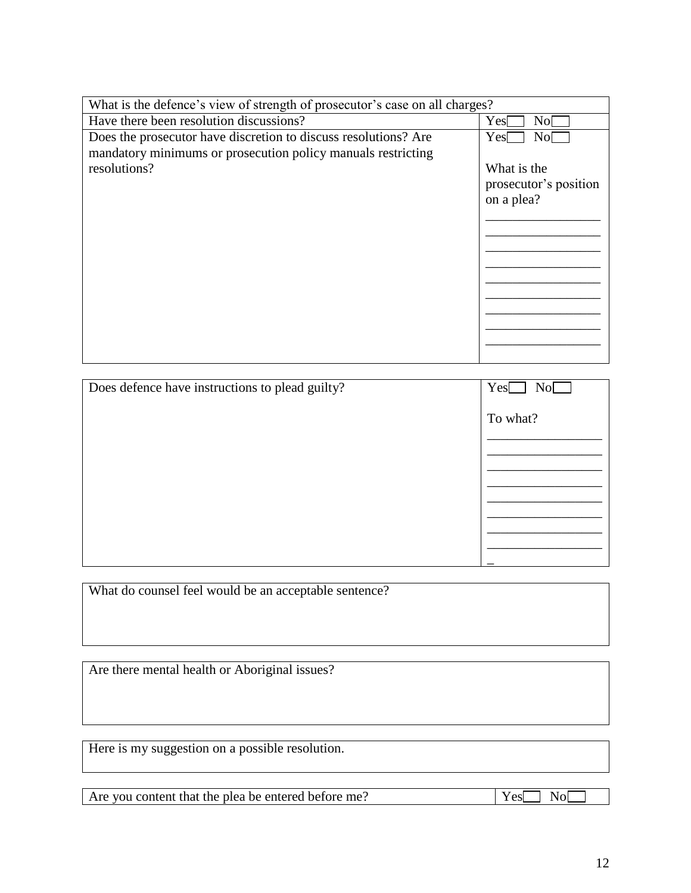| What is the defence's view of strength of prosecutor's case on all charges? |                         |
|-----------------------------------------------------------------------------|-------------------------|
| Have there been resolution discussions?                                     | No <sub>1</sub><br>Yes[ |
| Does the prosecutor have discretion to discuss resolutions? Are             | No[<br>Yes              |
| mandatory minimums or prosecution policy manuals restricting                |                         |
| resolutions?                                                                | What is the             |
|                                                                             | prosecutor's position   |
|                                                                             | on a plea?              |
|                                                                             |                         |
|                                                                             |                         |
|                                                                             |                         |
|                                                                             |                         |
|                                                                             |                         |
|                                                                             |                         |
|                                                                             |                         |
|                                                                             |                         |
|                                                                             |                         |
|                                                                             |                         |
| Does defence have instructions to plead guilty?                             | Yes<br>No[              |
|                                                                             | To what?                |
|                                                                             |                         |
|                                                                             |                         |
|                                                                             |                         |
|                                                                             |                         |

What do counsel feel would be an acceptable sentence?

Are there mental health or Aboriginal issues?

Here is my suggestion on a possible resolution.

Are you content that the plea be entered before me?  $\boxed{Yes\boxed{No}}$ 

\_\_\_\_\_\_\_\_\_\_\_\_\_\_\_\_\_ \_\_\_\_\_\_\_\_\_\_\_\_\_\_\_\_\_ \_\_\_\_\_\_\_\_\_\_\_\_\_\_\_\_\_ \_\_\_\_\_\_\_\_\_\_\_\_\_\_\_\_\_

\_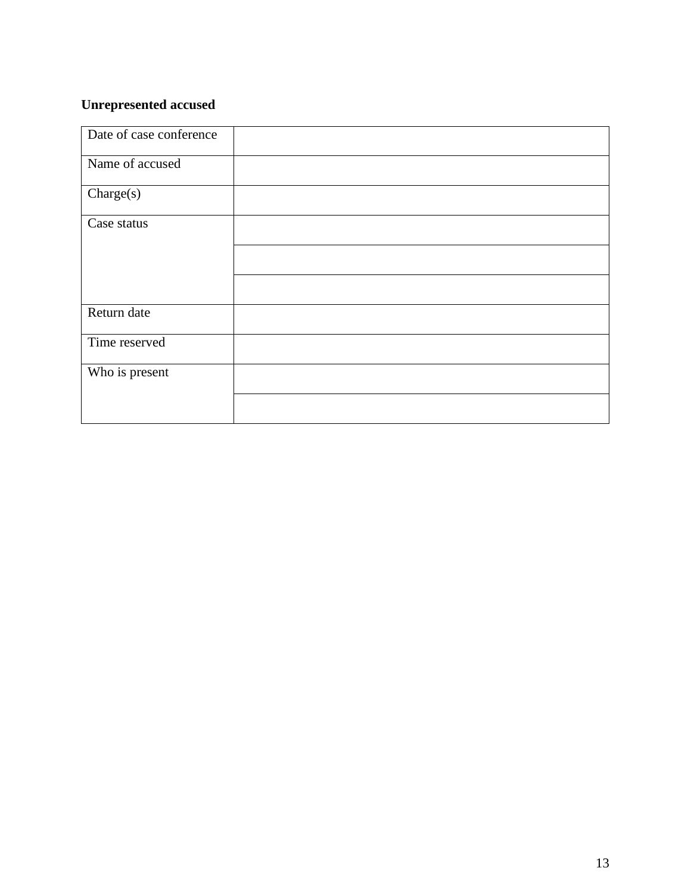# **Unrepresented accused**

| Date of case conference |  |
|-------------------------|--|
| Name of accused         |  |
| Change(s)               |  |
| Case status             |  |
|                         |  |
|                         |  |
| Return date             |  |
| Time reserved           |  |
| Who is present          |  |
|                         |  |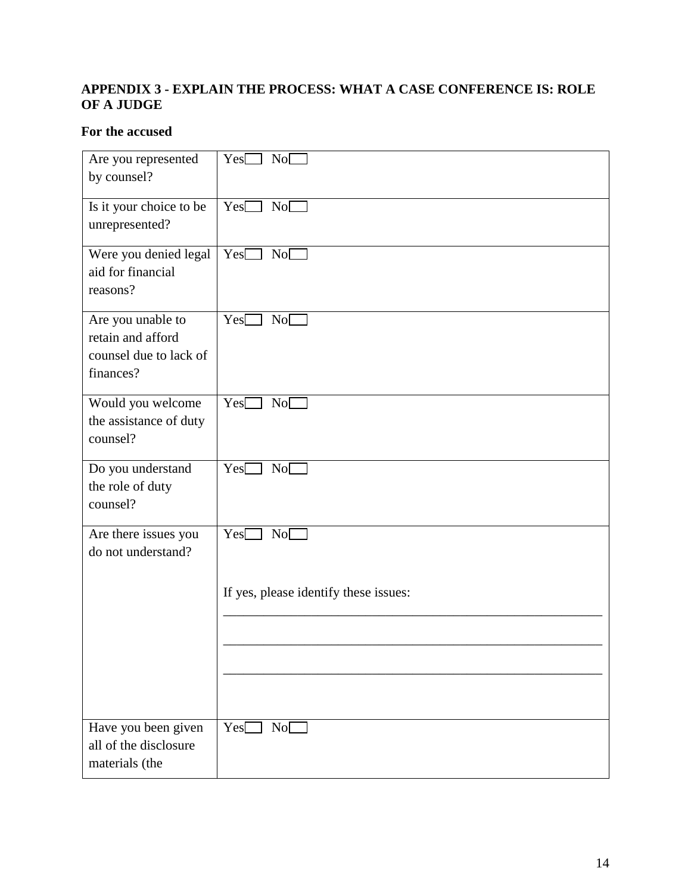# <span id="page-14-0"></span>**APPENDIX 3 - EXPLAIN THE PROCESS: WHAT A CASE CONFERENCE IS: ROLE OF A JUDGE**

# **For the accused**

| Are you represented<br>by counsel?                                            | Yes[<br>NoC                           |
|-------------------------------------------------------------------------------|---------------------------------------|
| Is it your choice to be<br>unrepresented?                                     | Yes<br>No                             |
| Were you denied legal<br>aid for financial<br>reasons?                        | NoC<br>$Yes$ $\Box$                   |
| Are you unable to<br>retain and afford<br>counsel due to lack of<br>finances? | NoC<br>Yes                            |
| Would you welcome<br>the assistance of duty<br>counsel?                       | Yes<br>No <sub>1</sub>                |
| Do you understand<br>the role of duty<br>counsel?                             | Yes<br>NoC                            |
| Are there issues you<br>do not understand?                                    | Yes<br>NoC                            |
|                                                                               | If yes, please identify these issues: |
|                                                                               |                                       |
| Have you been given<br>all of the disclosure<br>materials (the                | Yes[<br>No                            |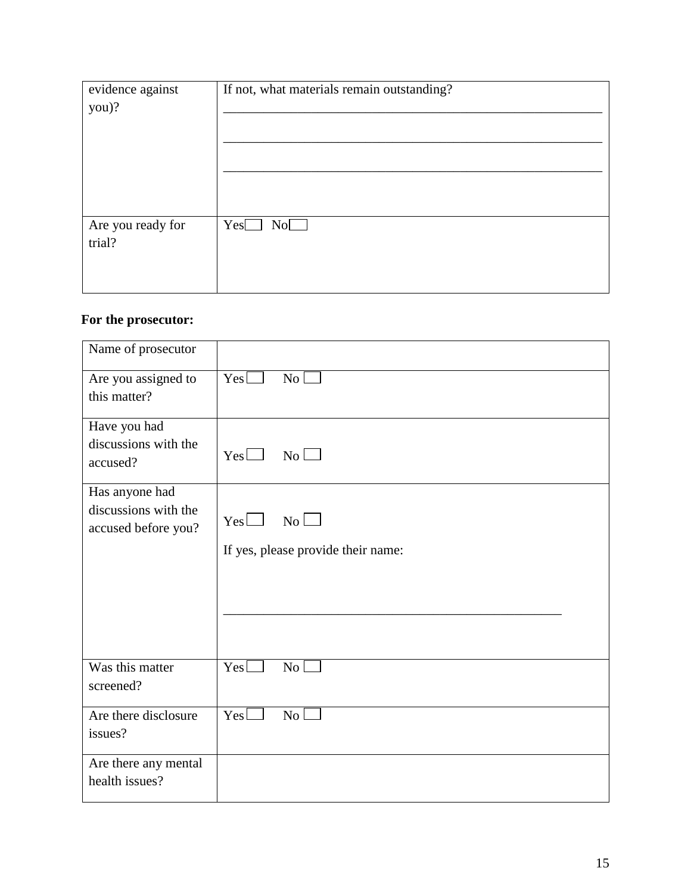| evidence against<br>you)? | If not, what materials remain outstanding? |
|---------------------------|--------------------------------------------|
| Are you ready for         | Yes                                        |
| trial?                    | No                                         |

# **For the prosecutor:**

| Name of prosecutor                               |                                    |
|--------------------------------------------------|------------------------------------|
| Are you assigned to                              | $Yes$ $\Box$                       |
| this matter?                                     | $\overline{N_0}$                   |
| Have you had<br>discussions with the<br>accused? | No<br>Yes                          |
| Has anyone had                                   | No                                 |
| discussions with the                             | $Yes \Box$                         |
| accused before you?                              | If yes, please provide their name: |
| Was this matter                                  | Yes                                |
| screened?                                        | $\overline{\rm No}$ $\Box$         |
| Are there disclosure                             | $Yes\square$                       |
| issues?                                          | No                                 |
| Are there any mental<br>health issues?           |                                    |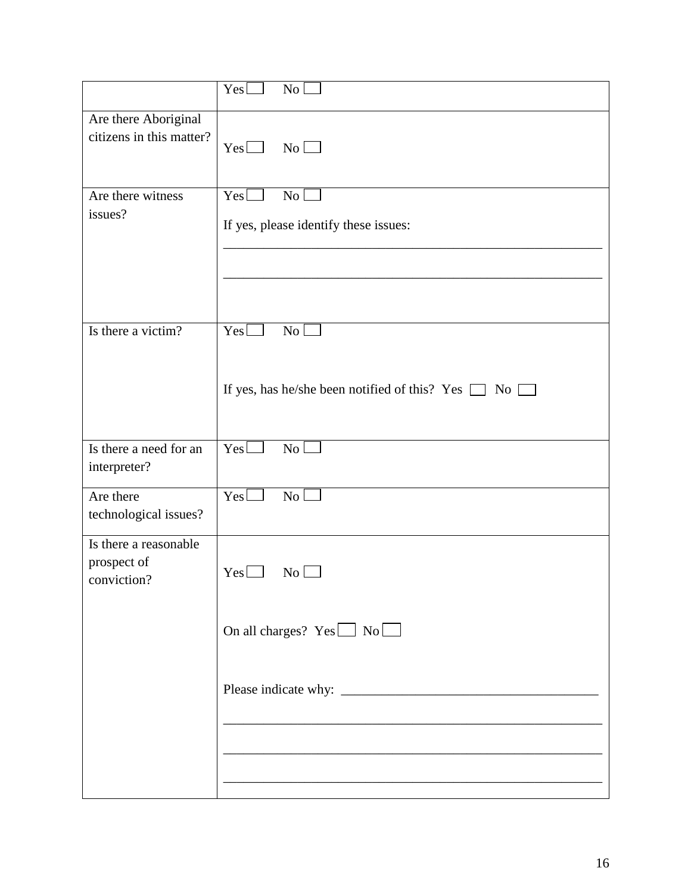|                                                                                                                   | Yes<br>N <sub>0</sub>                                                                    |
|-------------------------------------------------------------------------------------------------------------------|------------------------------------------------------------------------------------------|
| Are there Aboriginal<br>citizens in this matter?                                                                  | No<br>Yes                                                                                |
| Are there witness<br>issues?                                                                                      | $Yes$ $\Box$<br>No l<br>If yes, please identify these issues:                            |
| Is there a victim?                                                                                                | Yes<br>No <sub>1</sub><br>If yes, has he/she been notified of this? Yes $\Box$ No $\Box$ |
| Is there a need for an<br>interpreter?                                                                            | $Yes\square$<br>No                                                                       |
| Are there<br>technological issues?                                                                                | $Yes\square$<br>No l                                                                     |
| Is there a reasonable<br>prospect of<br>$Yes \Box$<br>$\overline{\rm No} \ \overline{\phantom{1}}$<br>conviction? |                                                                                          |
|                                                                                                                   | On all charges? $Yes \Box No \Box$                                                       |
|                                                                                                                   |                                                                                          |
|                                                                                                                   |                                                                                          |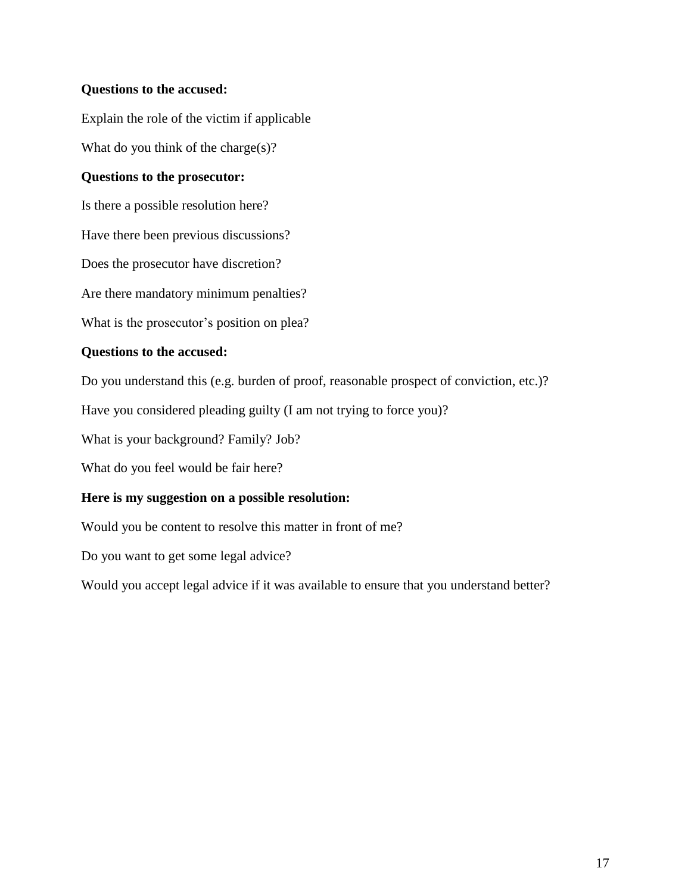#### **Questions to the accused:**

Explain the role of the victim if applicable

What do you think of the charge(s)?

#### **Questions to the prosecutor:**

Is there a possible resolution here?

Have there been previous discussions?

Does the prosecutor have discretion?

Are there mandatory minimum penalties?

What is the prosecutor's position on plea?

#### **Questions to the accused:**

Do you understand this (e.g. burden of proof, reasonable prospect of conviction, etc.)?

Have you considered pleading guilty (I am not trying to force you)?

What is your background? Family? Job?

What do you feel would be fair here?

#### **Here is my suggestion on a possible resolution:**

Would you be content to resolve this matter in front of me?

Do you want to get some legal advice?

<span id="page-17-0"></span>Would you accept legal advice if it was available to ensure that you understand better?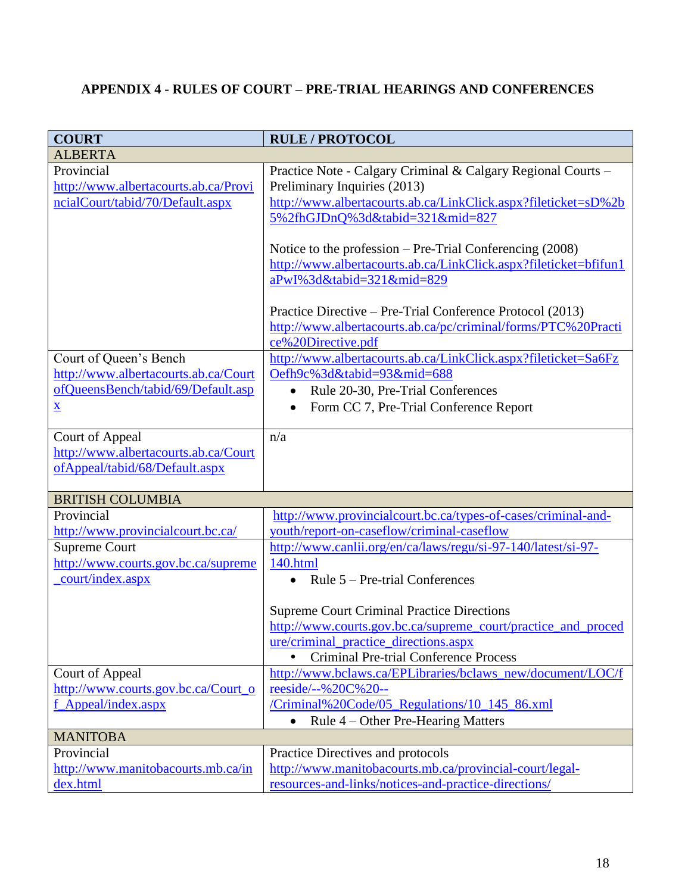# **APPENDIX 4 - RULES OF COURT – PRE-TRIAL HEARINGS AND CONFERENCES**

| <b>COURT</b>                         | <b>RULE / PROTOCOL</b>                                                                                                                           |
|--------------------------------------|--------------------------------------------------------------------------------------------------------------------------------------------------|
| <b>ALBERTA</b>                       |                                                                                                                                                  |
| Provincial                           | Practice Note - Calgary Criminal & Calgary Regional Courts -                                                                                     |
| http://www.albertacourts.ab.ca/Provi | Preliminary Inquiries (2013)                                                                                                                     |
| ncialCourt/tabid/70/Default.aspx     | http://www.albertacourts.ab.ca/LinkClick.aspx?fileticket=sD%2b                                                                                   |
|                                      | 5%2fhGJDnQ%3d&tabid=321∣=827                                                                                                                     |
|                                      | Notice to the profession – Pre-Trial Conferencing (2008)                                                                                         |
|                                      | http://www.albertacourts.ab.ca/LinkClick.aspx?fileticket=bfifun1                                                                                 |
|                                      | aPwI%3d&tabid=321∣=829                                                                                                                           |
|                                      | Practice Directive – Pre-Trial Conference Protocol (2013)<br>http://www.albertacourts.ab.ca/pc/criminal/forms/PTC%20Practi<br>ce%20Directive.pdf |
| Court of Queen's Bench               | http://www.albertacourts.ab.ca/LinkClick.aspx?fileticket=Sa6Fz                                                                                   |
| http://www.albertacourts.ab.ca/Court | Oefh9c%3d&tabid=93∣=688                                                                                                                          |
| ofQueensBench/tabid/69/Default.asp   | Rule 20-30, Pre-Trial Conferences                                                                                                                |
| $\underline{\mathbf{X}}$             | Form CC 7, Pre-Trial Conference Report<br>$\bullet$                                                                                              |
|                                      |                                                                                                                                                  |
| Court of Appeal                      | n/a                                                                                                                                              |
| http://www.albertacourts.ab.ca/Court |                                                                                                                                                  |
| ofAppeal/tabid/68/Default.aspx       |                                                                                                                                                  |
| <b>BRITISH COLUMBIA</b>              |                                                                                                                                                  |
| Provincial                           | http://www.provincialcourt.bc.ca/types-of-cases/criminal-and-                                                                                    |
| http://www.provincialcourt.bc.ca/    | youth/report-on-caseflow/criminal-caseflow                                                                                                       |
| <b>Supreme Court</b>                 | http://www.canlii.org/en/ca/laws/regu/si-97-140/latest/si-97-                                                                                    |
| http://www.courts.gov.bc.ca/supreme  | 140.html                                                                                                                                         |
| court/index.aspx                     | Rule 5 – Pre-trial Conferences                                                                                                                   |
|                                      |                                                                                                                                                  |
|                                      | <b>Supreme Court Criminal Practice Directions</b>                                                                                                |
|                                      | http://www.courts.gov.bc.ca/supreme_court/practice_and_proced                                                                                    |
|                                      | ure/criminal_practice_directions.aspx                                                                                                            |
|                                      | <b>Criminal Pre-trial Conference Process</b>                                                                                                     |
| Court of Appeal                      | http://www.bclaws.ca/EPLibraries/bclaws_new/document/LOC/f                                                                                       |
| http://www.courts.gov.bc.ca/Court_o  | reeside/--%20C%20--                                                                                                                              |
| f Appeal/index.aspx                  | /Criminal%20Code/05_Regulations/10_145_86.xml                                                                                                    |
|                                      | Rule 4 - Other Pre-Hearing Matters                                                                                                               |
| <b>MANITOBA</b>                      |                                                                                                                                                  |
| Provincial                           | Practice Directives and protocols                                                                                                                |
| http://www.manitobacourts.mb.ca/in   | http://www.manitobacourts.mb.ca/provincial-court/legal-                                                                                          |
| dex.html                             | resources-and-links/notices-and-practice-directions/                                                                                             |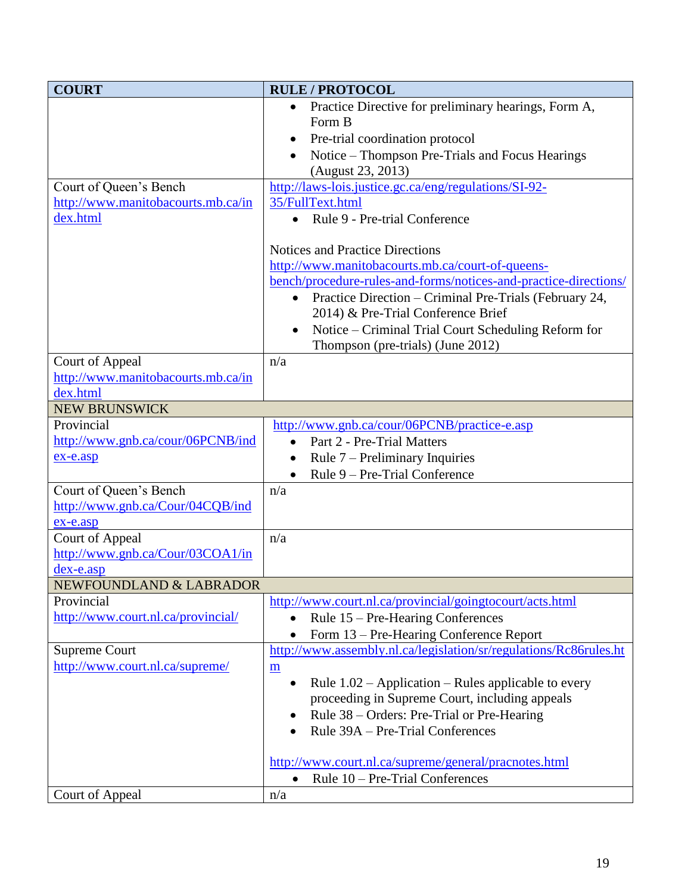| <b>COURT</b>                                     | <b>RULE / PROTOCOL</b>                                                                                       |
|--------------------------------------------------|--------------------------------------------------------------------------------------------------------------|
|                                                  | Practice Directive for preliminary hearings, Form A,<br>$\bullet$                                            |
|                                                  | Form B                                                                                                       |
|                                                  | Pre-trial coordination protocol<br>$\bullet$                                                                 |
|                                                  | Notice - Thompson Pre-Trials and Focus Hearings                                                              |
|                                                  | (August 23, 2013)                                                                                            |
| Court of Queen's Bench                           | http://laws-lois.justice.gc.ca/eng/regulations/SI-92-                                                        |
| http://www.manitobacourts.mb.ca/in               | 35/FullText.html                                                                                             |
| dex.html                                         | Rule 9 - Pre-trial Conference<br>$\bullet$                                                                   |
|                                                  | <b>Notices and Practice Directions</b>                                                                       |
|                                                  | http://www.manitobacourts.mb.ca/court-of-queens-                                                             |
|                                                  | bench/procedure-rules-and-forms/notices-and-practice-directions/                                             |
|                                                  | Practice Direction – Criminal Pre-Trials (February 24,<br>$\bullet$                                          |
|                                                  | 2014) & Pre-Trial Conference Brief                                                                           |
|                                                  | Notice – Criminal Trial Court Scheduling Reform for                                                          |
|                                                  | Thompson (pre-trials) (June 2012)                                                                            |
| Court of Appeal                                  | n/a                                                                                                          |
| http://www.manitobacourts.mb.ca/in               |                                                                                                              |
| dex.html                                         |                                                                                                              |
| <b>NEW BRUNSWICK</b>                             |                                                                                                              |
| Provincial                                       | http://www.gnb.ca/cour/06PCNB/practice-e.asp                                                                 |
| http://www.gnb.ca/cour/06PCNB/ind                | Part 2 - Pre-Trial Matters<br>$\bullet$                                                                      |
| ex-e.asp                                         | Rule $7$ – Preliminary Inquiries<br>$\bullet$                                                                |
|                                                  | Rule 9 – Pre-Trial Conference                                                                                |
| Court of Queen's Bench                           | n/a                                                                                                          |
| http://www.gnb.ca/Cour/04CQB/ind                 |                                                                                                              |
| ex-e.asp                                         |                                                                                                              |
| Court of Appeal                                  | n/a                                                                                                          |
| http://www.gnb.ca/Cour/03COA1/in                 |                                                                                                              |
| dex-e.asp                                        |                                                                                                              |
| NEWFOUNDLAND & LABRADOR                          |                                                                                                              |
| Provincial<br>http://www.court.nl.ca/provincial/ | http://www.court.nl.ca/provincial/goingtocourt/acts.html                                                     |
|                                                  | Rule 15 – Pre-Hearing Conferences<br>$\bullet$                                                               |
| <b>Supreme Court</b>                             | Form 13 – Pre-Hearing Conference Report<br>http://www.assembly.nl.ca/legislation/sr/regulations/Rc86rules.ht |
| http://www.court.nl.ca/supreme/                  | m                                                                                                            |
|                                                  | Rule $1.02$ – Application – Rules applicable to every<br>$\bullet$                                           |
|                                                  | proceeding in Supreme Court, including appeals                                                               |
|                                                  | Rule 38 – Orders: Pre-Trial or Pre-Hearing                                                                   |
|                                                  | Rule 39A - Pre-Trial Conferences                                                                             |
|                                                  |                                                                                                              |
|                                                  | http://www.court.nl.ca/supreme/general/pracnotes.html                                                        |
|                                                  | Rule 10 – Pre-Trial Conferences<br>$\bullet$                                                                 |
| Court of Appeal                                  | n/a                                                                                                          |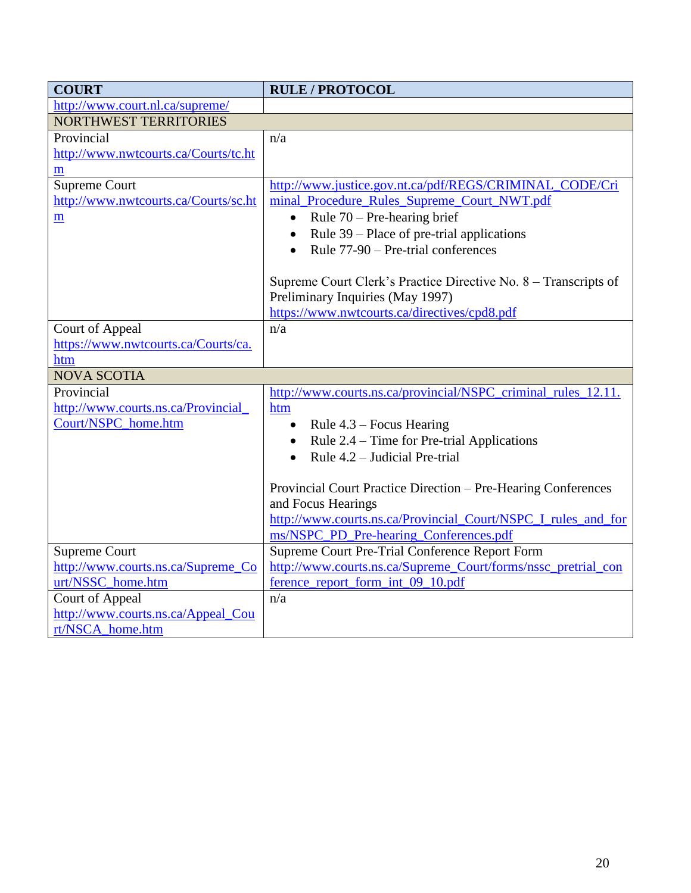| <b>COURT</b>                         | <b>RULE / PROTOCOL</b>                                          |
|--------------------------------------|-----------------------------------------------------------------|
| http://www.court.nl.ca/supreme/      |                                                                 |
| <b>NORTHWEST TERRITORIES</b>         |                                                                 |
| Provincial                           | n/a                                                             |
| http://www.nwtcourts.ca/Courts/tc.ht |                                                                 |
| m                                    |                                                                 |
| <b>Supreme Court</b>                 | http://www.justice.gov.nt.ca/pdf/REGS/CRIMINAL_CODE/Cri         |
| http://www.nwtcourts.ca/Courts/sc.ht | minal_Procedure_Rules_Supreme_Court_NWT.pdf                     |
| m                                    | Rule $70$ – Pre-hearing brief<br>$\bullet$                      |
|                                      | Rule 39 – Place of pre-trial applications<br>$\bullet$          |
|                                      | Rule 77-90 – Pre-trial conferences                              |
|                                      |                                                                 |
|                                      | Supreme Court Clerk's Practice Directive No. 8 – Transcripts of |
|                                      | Preliminary Inquiries (May 1997)                                |
|                                      | https://www.nwtcourts.ca/directives/cpd8.pdf                    |
| Court of Appeal                      | n/a                                                             |
| https://www.nwtcourts.ca/Courts/ca.  |                                                                 |
| htm                                  |                                                                 |
| <b>NOVA SCOTIA</b>                   |                                                                 |
| Provincial                           | http://www.courts.ns.ca/provincial/NSPC_criminal_rules_12.11.   |
| http://www.courts.ns.ca/Provincial   | htm                                                             |
| Court/NSPC_home.htm                  | Rule 4.3 – Focus Hearing<br>$\bullet$                           |
|                                      | Rule 2.4 – Time for Pre-trial Applications<br>$\bullet$         |
|                                      | Rule 4.2 – Judicial Pre-trial<br>$\bullet$                      |
|                                      |                                                                 |
|                                      | Provincial Court Practice Direction - Pre-Hearing Conferences   |
|                                      | and Focus Hearings                                              |
|                                      | http://www.courts.ns.ca/Provincial_Court/NSPC_I_rules_and_for   |
|                                      | ms/NSPC_PD_Pre-hearing_Conferences.pdf                          |
| <b>Supreme Court</b>                 | Supreme Court Pre-Trial Conference Report Form                  |
| http://www.courts.ns.ca/Supreme_Co   | http://www.courts.ns.ca/Supreme_Court/forms/nssc_pretrial_con   |
| urt/NSSC_home.htm                    | ference_report_form_int_09_10.pdf                               |
| Court of Appeal                      | n/a                                                             |
| http://www.courts.ns.ca/Appeal_Cou   |                                                                 |
| rt/NSCA_home.htm                     |                                                                 |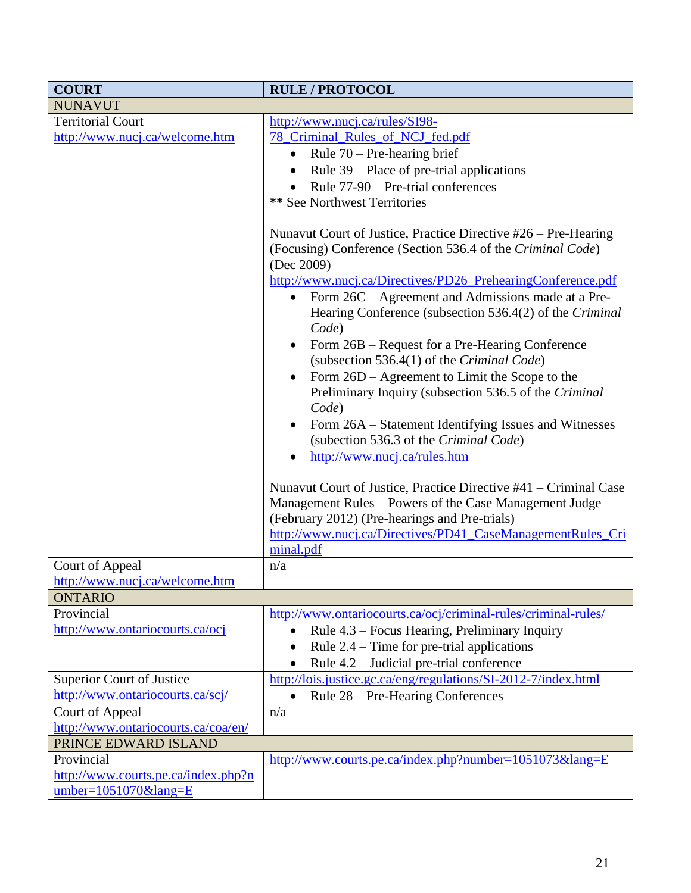| <b>COURT</b>                        | <b>RULE / PROTOCOL</b>                                           |
|-------------------------------------|------------------------------------------------------------------|
| <b>NUNAVUT</b>                      |                                                                  |
| <b>Territorial Court</b>            | http://www.nucj.ca/rules/SI98-                                   |
| http://www.nucj.ca/welcome.htm      | 78 Criminal Rules of NCJ fed.pdf                                 |
|                                     | Rule $70$ – Pre-hearing brief                                    |
|                                     | Rule 39 – Place of pre-trial applications                        |
|                                     | Rule 77-90 – Pre-trial conferences                               |
|                                     | ** See Northwest Territories                                     |
|                                     |                                                                  |
|                                     | Nunavut Court of Justice, Practice Directive #26 – Pre-Hearing   |
|                                     | (Focusing) Conference (Section 536.4 of the Criminal Code)       |
|                                     | (Dec 2009)                                                       |
|                                     | http://www.nucj.ca/Directives/PD26_PrehearingConference.pdf      |
|                                     | Form 26C – Agreement and Admissions made at a Pre-<br>$\bullet$  |
|                                     | Hearing Conference (subsection 536.4(2) of the Criminal          |
|                                     | Code)                                                            |
|                                     | Form 26B – Request for a Pre-Hearing Conference                  |
|                                     | (subsection 536.4(1) of the Criminal Code)                       |
|                                     | Form 26D – Agreement to Limit the Scope to the                   |
|                                     | Preliminary Inquiry (subsection 536.5 of the Criminal            |
|                                     | Code)                                                            |
|                                     | Form 26A – Statement Identifying Issues and Witnesses            |
|                                     | (subection 536.3 of the Criminal Code)                           |
|                                     | http://www.nucj.ca/rules.htm                                     |
|                                     |                                                                  |
|                                     | Nunavut Court of Justice, Practice Directive #41 – Criminal Case |
|                                     | Management Rules - Powers of the Case Management Judge           |
|                                     | (February 2012) (Pre-hearings and Pre-trials)                    |
|                                     | http://www.nucj.ca/Directives/PD41_CaseManagementRules_Cri       |
|                                     | minal.pdf                                                        |
| Court of Appeal                     | n/a                                                              |
| http://www.nucj.ca/welcome.htm      |                                                                  |
| <b>ONTARIO</b>                      |                                                                  |
| Provincial                          | http://www.ontariocourts.ca/ocj/criminal-rules/criminal-rules/   |
| http://www.ontariocourts.ca/ocj     | Rule 4.3 – Focus Hearing, Preliminary Inquiry<br>$\bullet$       |
|                                     | Rule $2.4$ – Time for pre-trial applications<br>$\bullet$        |
|                                     | Rule 4.2 – Judicial pre-trial conference                         |
| Superior Court of Justice           | http://lois.justice.gc.ca/eng/regulations/SI-2012-7/index.html   |
| http://www.ontariocourts.ca/scj/    | Rule 28 – Pre-Hearing Conferences<br>$\bullet$                   |
| Court of Appeal                     | n/a                                                              |
| http://www.ontariocourts.ca/coa/en/ |                                                                  |
| PRINCE EDWARD ISLAND                |                                                                  |
| Provincial                          | http://www.courts.pe.ca/index.php?number=1051073⟨=E              |
| http://www.courts.pe.ca/index.php?n |                                                                  |
| $umber=1051070\⟨=E$                 |                                                                  |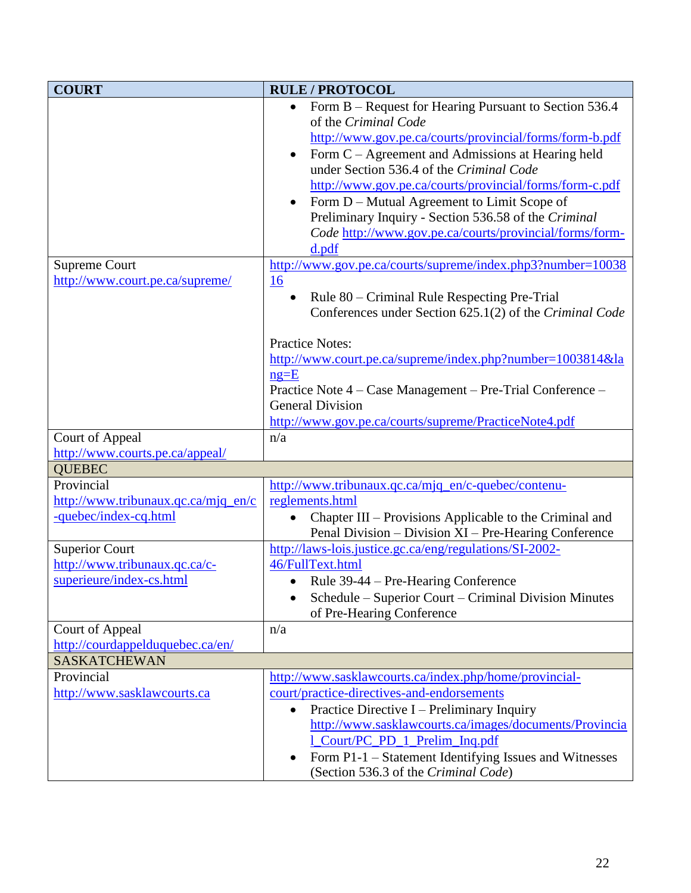| <b>COURT</b>                                                                       | <b>RULE/PROTOCOL</b>                                                                                                                                                                                                                                                                                                                                                                                                                                                                                                                              |
|------------------------------------------------------------------------------------|---------------------------------------------------------------------------------------------------------------------------------------------------------------------------------------------------------------------------------------------------------------------------------------------------------------------------------------------------------------------------------------------------------------------------------------------------------------------------------------------------------------------------------------------------|
| <b>Supreme Court</b>                                                               | Form B – Request for Hearing Pursuant to Section 536.4<br>of the Criminal Code<br>http://www.gov.pe.ca/courts/provincial/forms/form-b.pdf<br>Form $C -$ Agreement and Admissions at Hearing held<br>under Section 536.4 of the Criminal Code<br>http://www.gov.pe.ca/courts/provincial/forms/form-c.pdf<br>Form D – Mutual Agreement to Limit Scope of<br>Preliminary Inquiry - Section 536.58 of the Criminal<br>Code http://www.gov.pe.ca/courts/provincial/forms/form-<br>d.pdf<br>http://www.gov.pe.ca/courts/supreme/index.php3?number=10038 |
| http://www.court.pe.ca/supreme/                                                    | 16<br>Rule 80 - Criminal Rule Respecting Pre-Trial<br>$\bullet$<br>Conferences under Section 625.1(2) of the Criminal Code<br><b>Practice Notes:</b><br>http://www.court.pe.ca/supreme/index.php?number=1003814&la<br>$ng=E$<br>Practice Note 4 - Case Management - Pre-Trial Conference -<br><b>General Division</b><br>http://www.gov.pe.ca/courts/supreme/PracticeNote4.pdf                                                                                                                                                                    |
| Court of Appeal                                                                    | n/a                                                                                                                                                                                                                                                                                                                                                                                                                                                                                                                                               |
| http://www.courts.pe.ca/appeal/                                                    |                                                                                                                                                                                                                                                                                                                                                                                                                                                                                                                                                   |
| <b>QUEBEC</b>                                                                      |                                                                                                                                                                                                                                                                                                                                                                                                                                                                                                                                                   |
| Provincial<br>http://www.tribunaux.qc.ca/mjq_en/c<br>-quebec/index-cq.html         | http://www.tribunaux.qc.ca/mjq_en/c-quebec/contenu-<br>reglements.html<br>Chapter III – Provisions Applicable to the Criminal and<br>٠<br>Penal Division – Division XI – Pre-Hearing Conference                                                                                                                                                                                                                                                                                                                                                   |
| <b>Superior Court</b><br>http://www.tribunaux.qc.ca/c-<br>superieure/index-cs.html | http://laws-lois.justice.gc.ca/eng/regulations/SI-2002-<br>46/FullText.html<br>Rule 39-44 – Pre-Hearing Conference<br>Schedule – Superior Court – Criminal Division Minutes<br>of Pre-Hearing Conference                                                                                                                                                                                                                                                                                                                                          |
| Court of Appeal<br>http://courdappelduquebec.ca/en/                                | n/a                                                                                                                                                                                                                                                                                                                                                                                                                                                                                                                                               |
| <b>SASKATCHEWAN</b>                                                                |                                                                                                                                                                                                                                                                                                                                                                                                                                                                                                                                                   |
| Provincial<br>http://www.sasklawcourts.ca                                          | http://www.sasklawcourts.ca/index.php/home/provincial-<br>court/practice-directives-and-endorsements<br>Practice Directive I – Preliminary Inquiry<br>http://www.sasklawcourts.ca/images/documents/Provincia<br>1_Court/PC_PD_1_Prelim_Inq.pdf<br>Form P1-1 – Statement Identifying Issues and Witnesses<br>(Section 536.3 of the Criminal Code)                                                                                                                                                                                                  |